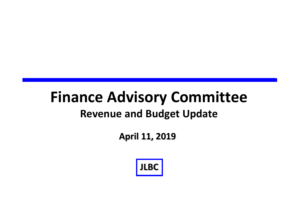## **Finance Advisory Committee Revenue and Budget Update**

**April 11, 2019**

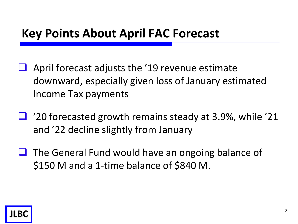## **Key Points About April FAC Forecast**

- April forecast adjusts the '19 revenue estimate downward, especially given loss of January estimated Income Tax payments
- $\Box$  '20 forecasted growth remains steady at 3.9%, while '21 and '22 decline slightly from January
- $\Box$  The General Fund would have an ongoing balance of \$150 M and a 1-time balance of \$840 M.

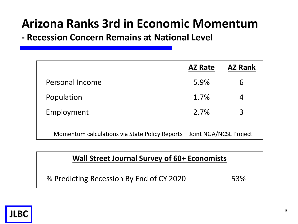## **Arizona Ranks 3rd in Economic Momentum**

**- Recession Concern Remains at National Level**

| <b>AZ Rate</b>                                                          | <b>AZ Rank</b> |  |  |  |  |
|-------------------------------------------------------------------------|----------------|--|--|--|--|
| 5.9%                                                                    | 6              |  |  |  |  |
| 1.7%                                                                    | 4              |  |  |  |  |
| 2.7%                                                                    | 3              |  |  |  |  |
| Momentum calculations via State Policy Reports - Joint NGA/NCSL Project |                |  |  |  |  |
|                                                                         |                |  |  |  |  |

#### **Wall Street Journal Survey of 60+ Economists**

% Predicting Recession By End of CY 2020 53%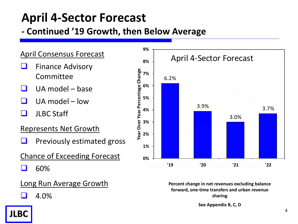## **April 4-Sector Forecast**

#### **- Continued '19 Growth, then Below Average**

#### April Consensus Forecast

- Finance Advisory Committee
- $\Box$  UA model base
- $\Box$  UA model low
- $\Box$  JLBC Staff

#### Represents Net Growth

- $\Box$  Previously estimated gross
- Chance of Exceeding Forecast
- 60%

#### Long Run Average Growth





**Percent change in net revenues excluding balance forward, one-time transfers and urban revenue sharing**

**See Appendix B, C, D**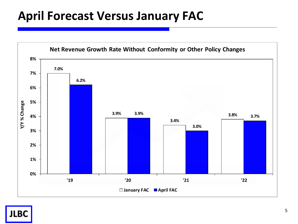## **April Forecast Versus January FAC**

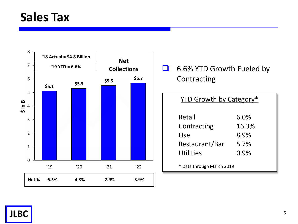### **Sales Tax**



#### 6.6% YTD Growth Fueled by Contracting

#### YTD Growth by Category\*

| Retail         | 6.0%  |
|----------------|-------|
| Contracting    | 16.3% |
| Use            | 8.9%  |
| Restaurant/Bar | 5.7%  |
| Utilities      | 0.9%  |
|                |       |

\* Data through March 2019

**JLBC**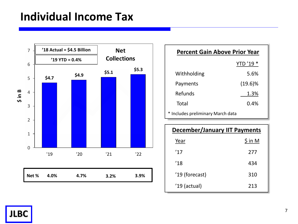### **Individual Income Tax**



| <b>Percent Gain Above Prior Year</b> |            |  |  |  |  |
|--------------------------------------|------------|--|--|--|--|
|                                      | YTD '19 *  |  |  |  |  |
| Withholding                          | 5.6%       |  |  |  |  |
| Payments                             | $(19.6)\%$ |  |  |  |  |
| Refunds                              | 1.3%       |  |  |  |  |
| Total                                | 0.4%       |  |  |  |  |
| * Includes preliminary March data    |            |  |  |  |  |

| <b>December/January IIT Payments</b> |          |  |  |  |
|--------------------------------------|----------|--|--|--|
| Year                                 | $\sin M$ |  |  |  |
| '17                                  | 277      |  |  |  |
| '18                                  | 434      |  |  |  |
| '19 (forecast)                       | 310      |  |  |  |
| $'19$ (actual)                       | 213      |  |  |  |

**JLBC** <sup>7</sup>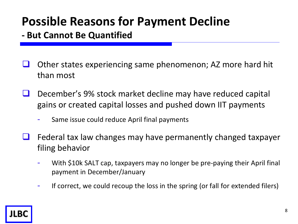## **Possible Reasons for Payment Decline**

**- But Cannot Be Quantified**

- $\Box$  Other states experiencing same phenomenon; AZ more hard hit than most
- $\Box$  December's 9% stock market decline may have reduced capital gains or created capital losses and pushed down IIT payments
	- Same issue could reduce April final payments
- $\Box$  Federal tax law changes may have permanently changed taxpayer filing behavior
	- With \$10k SALT cap, taxpayers may no longer be pre-paying their April final payment in December/January
	- If correct, we could recoup the loss in the spring (or fall for extended filers)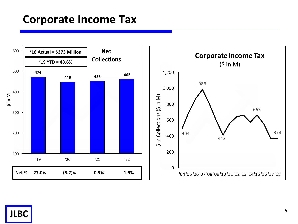### **Corporate Income Tax**

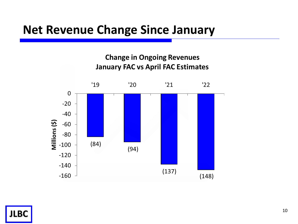### **Net Revenue Change Since January**

#### **Change in Ongoing Revenues January FAC vs April FAC Estimates**



**JLBC** 10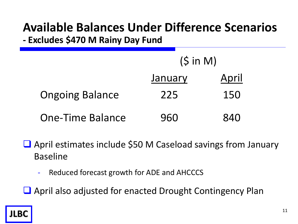# **Available Balances Under Difference Scenarios**

**- Excludes \$470 M Rainy Day Fund**

|                         | $(S \in M)$ |       |
|-------------------------|-------------|-------|
|                         | January     | April |
| <b>Ongoing Balance</b>  | 225         | 150   |
| <b>One-Time Balance</b> | 960         | 840   |

■ April estimates include \$50 M Caseload savings from January Baseline

- Reduced forecast growth for ADE and AHCCCS

April also adjusted for enacted Drought Contingency Plan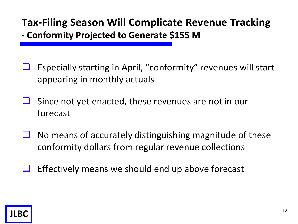# **Tax-Filing Season Will Complicate Revenue Tracking**

**- Conformity Projected to Generate \$155 M**

- Especially starting in April, "conformity" revenues will start appearing in monthly actuals
- $\Box$  Since not yet enacted, these revenues are not in our forecast
- No means of accurately distinguishing magnitude of these conformity dollars from regular revenue collections
- $\Box$  Effectively means we should end up above forecast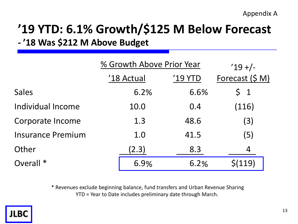### **'19 YTD: 6.1% Growth/\$125 M Below Forecast - '18 Was \$212 M Above Budget**

|                          |            | % Growth Above Prior Year |                 |  |  |  |
|--------------------------|------------|---------------------------|-----------------|--|--|--|
|                          | '18 Actual | '19 YTD                   | Forecast (\$ M) |  |  |  |
| <b>Sales</b>             | 6.2%       | 6.6%                      | $\zeta$ 1       |  |  |  |
| Individual Income        | 10.0       | 0.4                       | (116)           |  |  |  |
| Corporate Income         | 1.3        | 48.6                      | (3)             |  |  |  |
| <b>Insurance Premium</b> | 1.0        | 41.5                      | (5)             |  |  |  |
| Other                    | (2.3)      | 8.3                       | 4               |  |  |  |
| Overall <sup>*</sup>     | 6.9%       | 6.2%                      | S(119)          |  |  |  |

\* Revenues exclude beginning balance, fund transfers and Urban Revenue Sharing YTD = Year to Date includes preliminary date through March.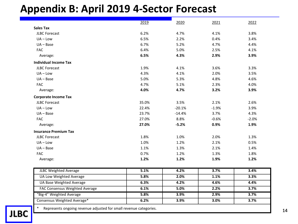#### **Appendix B: April 2019 4-Sector Forecast**

|                                                                   | 2019  | 2020     | 2021    | 2022    |
|-------------------------------------------------------------------|-------|----------|---------|---------|
| <b>Sales Tax</b>                                                  |       |          |         |         |
| <b>JLBC Forecast</b>                                              | 6.2%  | 4.7%     | 4.1%    | 3.8%    |
| $UA$ – Low                                                        | 6.5%  | 2.2%     | 0.4%    | 3.4%    |
| $UA - Base$                                                       | 6.7%  | 5.2%     | 4.7%    | 4.4%    |
| <b>FAC</b>                                                        | 6.4%  | 5.0%     | 2.5%    | 4.1%    |
| Average:                                                          | 6.5%  | 4.3%     | 2.9%    | 3.9%    |
| <b>Individual Income Tax</b>                                      |       |          |         |         |
| <b>JLBC Forecast</b>                                              | 1.9%  | 4.1%     | 3.6%    | 3.3%    |
| $UA - Low$                                                        | 4.3%  | 4.1%     | 2.0%    | 3.5%    |
| $UA - Base$                                                       | 5.0%  | 5.3%     | 4.8%    | 4.6%    |
| <b>FAC</b>                                                        | 4.7%  | 5.1%     | 2.3%    | 4.0%    |
| Average:                                                          | 4.0%  | 4.7%     | 3.2%    | 3.9%    |
| <b>Corporate Income Tax</b>                                       |       |          |         |         |
| <b>JLBC Forecast</b>                                              | 35.0% | 3.5%     | 2.1%    | 2.6%    |
| $UA - Low$                                                        | 22.4% | $-20.1%$ | $-1.9%$ | 3.9%    |
| $UA - Base$                                                       | 23.7% | $-14.4%$ | 3.7%    | 4.3%    |
| <b>FAC</b>                                                        | 27.0% | 8.8%     | $-0.6%$ | $-2.0%$ |
| Average:                                                          | 27.0% | $-5.2%$  | 0.9%    | 1.9%    |
| <b>Insurance Premium Tax</b>                                      |       |          |         |         |
| <b>JLBC Forecast</b>                                              | 1.8%  | 1.0%     | 2.0%    | 1.3%    |
| $UA - Low$                                                        | 1.0%  | 1.2%     | 2.1%    | 0.5%    |
| $UA - Base$                                                       | 1.1%  | 1.3%     | 2.1%    | 1.4%    |
| <b>FAC</b>                                                        | 0.7%  | 1.2%     | 1.3%    | 1.8%    |
| Average:                                                          | 1.2%  | 1.2%     | 1.9%    | 1.2%    |
| <b>JLBC Weighted Average</b>                                      | 5.1%  | 4.2%     | 3.7%    | 3.4%    |
| <b>UA Low Weighted Average</b>                                    | 5.8%  | 2.0%     | 1.1%    | 3.3%    |
| UA Base Weighted Average                                          | 6.3%  | 4.2%     | 4.6%    | 4.4%    |
| FAC Consensus Weighted Average                                    | 6.1%  | 5.0%     | 2.2%    | 3.7%    |
| "Big-4" Weighted Average                                          | 5.8%  | 3.9%     | 2.9%    | 3.7%    |
| Consensus Weighted Average*                                       | 6.2%  | 3.9%     | 3.0%    | 3.7%    |
| Represents ongoing revenue adjusted for small revenue categories. |       |          |         |         |

**JLBC**  $\begin{bmatrix} 1 & \text{represents only one number, and the number of integers.} \\ \end{bmatrix}$  14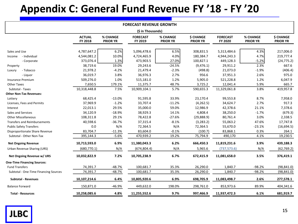### **Appendix C: General Fund Revenue FY '18 - FY '20**

| <b>FORECAST REVENUE GROWTH</b>        |                          |                             |                            |                             |                                     |                            |                             |                                     |
|---------------------------------------|--------------------------|-----------------------------|----------------------------|-----------------------------|-------------------------------------|----------------------------|-----------------------------|-------------------------------------|
| (\$ in Thousands)                     |                          |                             |                            |                             |                                     |                            |                             |                                     |
|                                       | <b>ACTUAL</b><br>FY 2018 | % CHANGE<br><b>PRIOR YR</b> | <b>FORECAST</b><br>FY 2019 | % CHANGE<br><b>PRIOR YR</b> | <b>\$ CHANGE</b><br><b>PRIOR YR</b> | <b>FORECAST</b><br>FY 2020 | % CHANGE<br><b>PRIOR YR</b> | <b>\$ CHANGE</b><br><b>PRIOR YR</b> |
|                                       |                          |                             |                            |                             |                                     |                            |                             |                                     |
| Sales and Use                         | 4,787,647.2              | 6.2%                        | 5,096,478.6                | 6.5%                        | 308,831.5                           | 5,313,484.6                | 4.3%                        | 217,006.0                           |
| - Individual<br>Income                | 4,544,081.2<br>373,076.4 | 10.0%<br>1.3%               | 4,724,465.9<br>473,903.5   | 4.0%<br>27.0%               | 180,384.7<br>100,827.1              | 4,944,243.3<br>449,128.3   | 4.7%<br>$-5.2%$             | 219,777.4<br>(24, 775.2)            |
| - Corporate                           |                          | 19.0%                       |                            | $-24.5%$                    |                                     |                            | 2.3%                        | 667.6                               |
| Property                              | 38,719.6                 |                             | 29,243.6                   |                             | (9,476.1)                           | 29,911.2                   |                             |                                     |
| - Tobacco<br>Luxury                   | 21,978.2                 | $-4.2%$                     | 21,479.4                   | $-2.3%$                     | (498.8)                             | 21,073.0                   | $-1.9%$                     | (406.4)                             |
| - Liquor                              | 36,019.7                 | 3.8%                        | 36,976.3                   | 2.7%                        | 956.6                               | 37,951.3                   | 2.6%                        | 975.0                               |
| <b>Insurance Premium</b>              | 509,276.0                | 1.0%                        | 515,181.0                  | 1.2%                        | 5,905.0                             | 521,228.8                  | 1.2%                        | 6,047.9                             |
| <b>Other Taxes</b>                    | 7,650.5                  | 179.1%                      | 11,375.7                   | 48.7%                       | 3,725.2                             | 12,041.4                   | 5.9%                        | 665.7                               |
| Subtotal - Taxes                      | 10,318,448.8             | 7.5%                        | 10,909,104.1               | 5.7%                        | 590,655.3                           | 11,329,061.8               | 3.8%                        | 419,957.8                           |
| <b>Other Non-Tax Revenues:</b>        |                          |                             |                            |                             |                                     |                            |                             |                                     |
| Lottery                               | 68,425.4                 | $-13.0%$                    | 91,595.8                   | 33.9%                       | 23,170.4                            | 99,553.8                   | 8.7%                        | 7,958.0                             |
| Licenses, Fees and Permits            | 37,969.9                 | $-1.2%$                     | 33,707.4                   | $-11.2%$                    | (4, 262.5)                          | 34,624.7                   | 2.7%                        | 917.3                               |
| Interest                              | 22,013.1                 | 29.5%                       | 35,000.0                   | 59.0%                       | 12,986.9                            | 42,378.6                   | 21.1%                       | 7,378.6                             |
| Sales and Services                    | 34,120.9                 | $-18.9%$                    | 38,929.3                   | 14.1%                       | 4,808.4                             | 38,250.0                   | $-1.7%$                     | (679.3)                             |
| <b>Other Miscellaneous</b>            | 108,311.8                | 29.1%                       | 78,422.8                   | $-27.6%$                    | (29,888.9)                          | 80,761.4                   | 3.0%                        | 2,338.5                             |
| <b>Transfers and Reimbursements</b>   | 40,598.6                 | $-36.7%$                    | 37,315.4                   | $-8.1%$                     | (3, 283.2)                          | 55,063.2                   | 47.6%                       | 17,747.8                            |
| <b>Public Safety Transfers</b>        | 0.0                      | N/A                         | 72,364.5                   | N/A                         | 72,364.5                            | 55,670.0                   | $-23.1%$                    | (16, 694.5)                         |
| Disproportionate Share Revenue        | 83,704.7                 | $-11.3%$                    | 83,604.0                   | $-0.1%$                     | (100.7)                             | 83,868.1                   | 0.3%                        | 264.1                               |
| Subtotal - Other Non-Tax              | 395,144.3                | $-5.6%$                     | 470,939.2                  | 19.2%                       | 75,794.9                            | 490,170                    | 4.1%                        | 19,230.5                            |
| <b>Net Ongoing Revenue</b>            | 10,713,593.0             | 6.9%                        | 11,380,043.3               | 6.2%                        | 666,450.3                           | 11,819,231.6               | 3.9%                        | 439,188.3                           |
| Urban Revenue Sharing (URS)           | (680, 770.1)             | N/A                         | (674, 804.4)               | N/A                         | 5,965.6                             | (737, 573.6)               | N/A                         | (62, 769.2)                         |
| Net Ongoing Revenue w/ URS            | 10,032,822.9             | 7.2%                        | 10,705,238.9               | 6.7%                        | 672,415.9                           | 11,081,658.0               | 3.5%                        | 376,419.1                           |
| <b>One-Time Financing Sources:</b>    |                          |                             |                            |                             |                                     |                            |                             |                                     |
| <b>Fund Transfers</b>                 | 74,391.7                 | $-48.7%$                    | 100,681.7                  | 35.3%                       | 26,290.0                            | 1,840.7                    | $-98.2%$                    | (98, 841.0)                         |
| Subtotal - One-Time Financing Sources | 74,391.7                 | $-48.7%$                    | 100,681.7                  | 35.3%                       | 26,290.0                            | 1,840.7                    | $-98.2%$                    | (98, 841.0)                         |
| <b>Subtotal - Revenues</b>            | 10,107,214.6             | 6.4%                        | 10,805,920.6               | 6.9%                        | 698,705.9                           | 11,083,498.7               | 2.6%                        | 277,578.1                           |
| <b>Balance Forward</b>                | 150,871.0                | $-46.9%$                    | 449,632.0                  | 198.0%                      | 298,761.0                           | 853,973.6                  | 89.9%                       | 404,341.6                           |
| <b>Total - Resources</b>              | 10,258,085.6             | 4.8%                        | 11,255,552.6               | 9.7%                        | 997,466.9                           | 11,937,472.3               | 6.1%                        | 681,919.7                           |